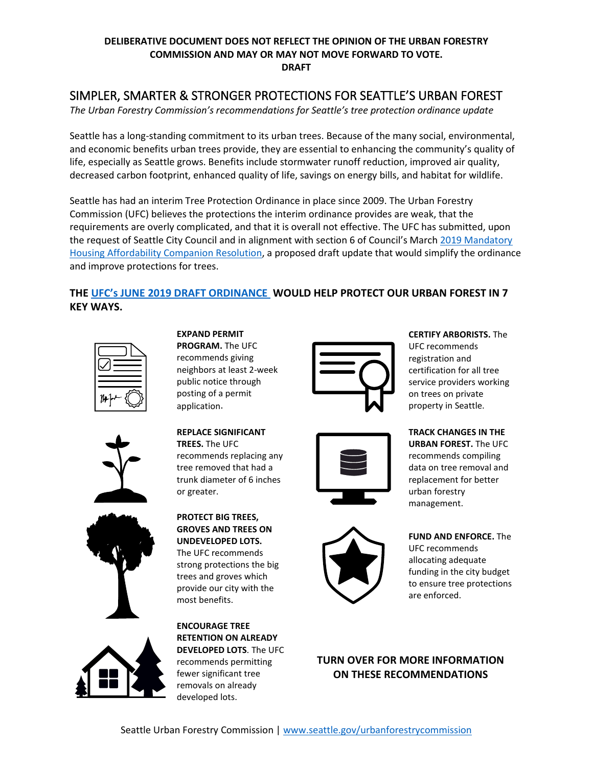### **DELIBERATIVE DOCUMENT DOES NOT REFLECT THE OPINION OF THE URBAN FORESTRY COMMISSION AND MAY OR MAY NOT MOVE FORWARD TO VOTE. DRAFT**

# SIMPLER, SMARTER & STRONGER PROTECTIONS FOR SEATTLE'S URBAN FOREST

*The Urban Forestry Commission's recommendations for Seattle's tree protection ordinance update*

Seattle has a long-standing commitment to its urban trees. Because of the many social, environmental, and economic benefits urban trees provide, they are essential to enhancing the community's quality of life, especially as Seattle grows. Benefits include stormwater runoff reduction, improved air quality, decreased carbon footprint, enhanced quality of life, savings on energy bills, and habitat for wildlife.

Seattle has had an interim Tree Protection Ordinance in place since 2009. The Urban Forestry Commission (UFC) believes the protections the interim ordinance provides are weak, that the requirements are overly complicated, and that it is overall not effective. The UFC has submitted, upon the request of Seattle City Council and in alignment with section 6 of Council's Marc[h 2019 Mandatory](http://seattle.legistar.com/LegislationDetail.aspx?ID=3881345&GUID=3FB1D1A4-A9D9-4739-A789-EC7DB5621491&FullText=1)  [Housing Affordability Companion Resolution,](http://seattle.legistar.com/LegislationDetail.aspx?ID=3881345&GUID=3FB1D1A4-A9D9-4739-A789-EC7DB5621491&FullText=1) a proposed draft update that would simplify the ordinance and improve protections for trees.

# **THE UFC's JUNE 2019 [DRAFT ORDINANCE](https://www.seattle.gov/Documents/Departments/UrbanForestryCommission/2019/2019docs/OutlineandDraftUFCTreeProtectionRegs070219FullDoc.pdf) WOULD HELP PROTECT OUR URBAN FOREST IN 7 KEY WAYS.**









#### **EXPAND PERMIT PROGRAM.** The UFC recommends giving neighbors at least 2-week public notice through posting of a permit application.

**REPLACE SIGNIFICANT TREES.** The UFC recommends replacing any tree removed that had a trunk diameter of 6 inches

or greater.

**PROTECT BIG TREES, GROVES AND TREES ON UNDEVELOPED LOTS.** The UFC recommends strong protections the big trees and groves which provide our city with the most benefits.

**ENCOURAGE TREE RETENTION ON ALREADY DEVELOPED LOTS**. The UFC recommends permitting fewer significant tree removals on already developed lots.







**CERTIFY ARBORISTS.** The UFC recommends registration and certification for all tree service providers working on trees on private property in Seattle.

**TRACK CHANGES IN THE URBAN FOREST.** The UFC recommends compiling data on tree removal and replacement for better urban forestry management.

**FUND AND ENFORCE.** The UFC recommends allocating adequate funding in the city budget to ensure tree protections are enforced.

## **TURN OVER FOR MORE INFORMATION ON THESE RECOMMENDATIONS**